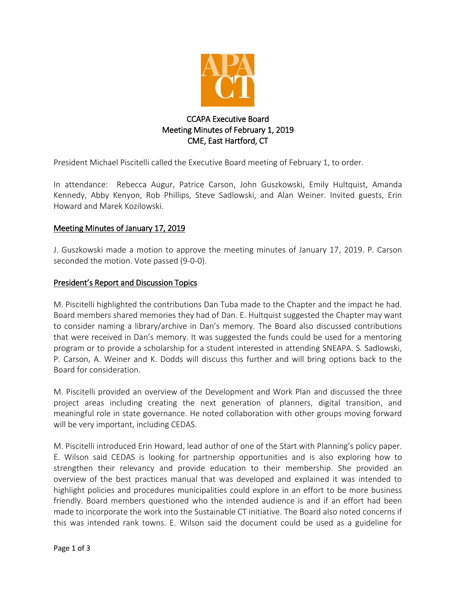

# CCAPA Executive Board Meeting Minutes of February 1, 2019 CME, East Hartford, CT

President Michael Piscitelli called the Executive Board meeting of February 1, to order.

In attendance: Rebecca Augur, Patrice Carson, John Guszkowski, Emily Hultquist, Amanda Kennedy, Abby Kenyon, Rob Phillips, Steve Sadlowski, and Alan Weiner. Invited guests, Erin Howard and Marek Kozilowski.

## Meeting Minutes of January 17, 2019

J. Guszkowski made a motion to approve the meeting minutes of January 17, 2019. P. Carson seconded the motion. Vote passed (9-0-0).

### President's Report and Discussion Topics

M. Piscitelli highlighted the contributions Dan Tuba made to the Chapter and the impact he had. Board members shared memories they had of Dan. E. Hultquist suggested the Chapter may want to consider naming a library/archive in Dan's memory. The Board also discussed contributions that were received in Dan's memory. It was suggested the funds could be used for a mentoring program or to provide a scholarship for a student interested in attending SNEAPA. S. Sadlowski, P. Carson, A. Weiner and K. Dodds will discuss this further and will bring options back to the Board for consideration.

M. Piscitelli provided an overview of the Development and Work Plan and discussed the three project areas including creating the next generation of planners, digital transition, and meaningful role in state governance. He noted collaboration with other groups moving forward will be very important, including CEDAS.

M. Piscitelli introduced Erin Howard, lead author of one of the Start with Planning's policy paper. E. Wilson said CEDAS is looking for partnership opportunities and is also exploring how to strengthen their relevancy and provide education to their membership. She provided an overview of the best practices manual that was developed and explained it was intended to highlight policies and procedures municipalities could explore in an effort to be more business friendly. Board members questioned who the intended audience is and if an effort had been made to incorporate the work into the Sustainable CT initiative. The Board also noted concerns if this was intended rank towns. E. Wilson said the document could be used as a guideline for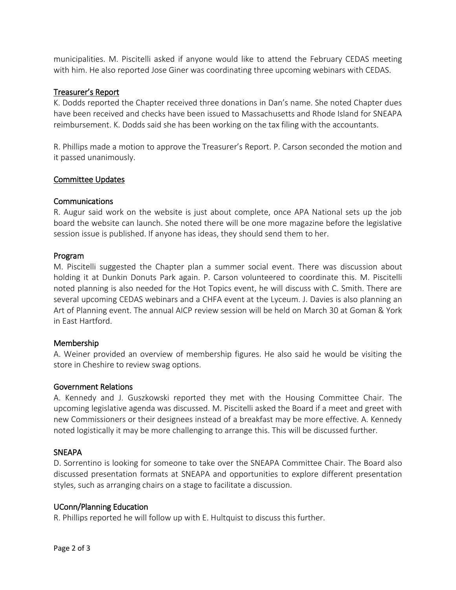municipalities. M. Piscitelli asked if anyone would like to attend the February CEDAS meeting with him. He also reported Jose Giner was coordinating three upcoming webinars with CEDAS.

## Treasurer's Report

K. Dodds reported the Chapter received three donations in Dan's name. She noted Chapter dues have been received and checks have been issued to Massachusetts and Rhode Island for SNEAPA reimbursement. K. Dodds said she has been working on the tax filing with the accountants.

R. Phillips made a motion to approve the Treasurer's Report. P. Carson seconded the motion and it passed unanimously.

### Committee Updates

### Communications

R. Augur said work on the website is just about complete, once APA National sets up the job board the website can launch. She noted there will be one more magazine before the legislative session issue is published. If anyone has ideas, they should send them to her.

### Program

M. Piscitelli suggested the Chapter plan a summer social event. There was discussion about holding it at Dunkin Donuts Park again. P. Carson volunteered to coordinate this. M. Piscitelli noted planning is also needed for the Hot Topics event, he will discuss with C. Smith. There are several upcoming CEDAS webinars and a CHFA event at the Lyceum. J. Davies is also planning an Art of Planning event. The annual AICP review session will be held on March 30 at Goman & York in East Hartford.

## Membership

A. Weiner provided an overview of membership figures. He also said he would be visiting the store in Cheshire to review swag options.

### Government Relations

A. Kennedy and J. Guszkowski reported they met with the Housing Committee Chair. The upcoming legislative agenda was discussed. M. Piscitelli asked the Board if a meet and greet with new Commissioners or their designees instead of a breakfast may be more effective. A. Kennedy noted logistically it may be more challenging to arrange this. This will be discussed further.

## **SNEAPA**

D. Sorrentino is looking for someone to take over the SNEAPA Committee Chair. The Board also discussed presentation formats at SNEAPA and opportunities to explore different presentation styles, such as arranging chairs on a stage to facilitate a discussion.

### UConn/Planning Education

R. Phillips reported he will follow up with E. Hultquist to discuss this further.